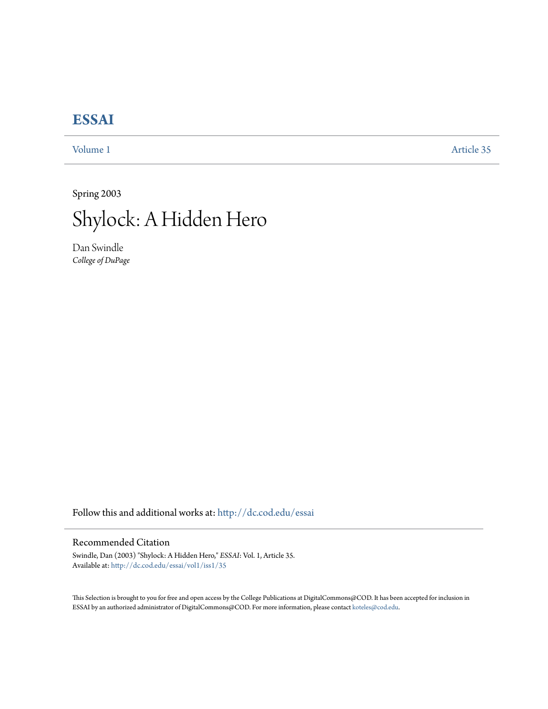## **[ESSAI](http://dc.cod.edu/essai?utm_source=dc.cod.edu%2Fessai%2Fvol1%2Fiss1%2F35&utm_medium=PDF&utm_campaign=PDFCoverPages)**

[Volume 1](http://dc.cod.edu/essai/vol1?utm_source=dc.cod.edu%2Fessai%2Fvol1%2Fiss1%2F35&utm_medium=PDF&utm_campaign=PDFCoverPages) [Article 35](http://dc.cod.edu/essai/vol1/iss1/35?utm_source=dc.cod.edu%2Fessai%2Fvol1%2Fiss1%2F35&utm_medium=PDF&utm_campaign=PDFCoverPages)

Spring 2003



Dan Swindle *College of DuPage*

Follow this and additional works at: [http://dc.cod.edu/essai](http://dc.cod.edu/essai?utm_source=dc.cod.edu%2Fessai%2Fvol1%2Fiss1%2F35&utm_medium=PDF&utm_campaign=PDFCoverPages)

## Recommended Citation

Swindle, Dan (2003) "Shylock: A Hidden Hero," *ESSAI*: Vol. 1, Article 35. Available at: [http://dc.cod.edu/essai/vol1/iss1/35](http://dc.cod.edu/essai/vol1/iss1/35?utm_source=dc.cod.edu%2Fessai%2Fvol1%2Fiss1%2F35&utm_medium=PDF&utm_campaign=PDFCoverPages)

This Selection is brought to you for free and open access by the College Publications at DigitalCommons@COD. It has been accepted for inclusion in ESSAI by an authorized administrator of DigitalCommons@COD. For more information, please contact [koteles@cod.edu](mailto:koteles@cod.edu).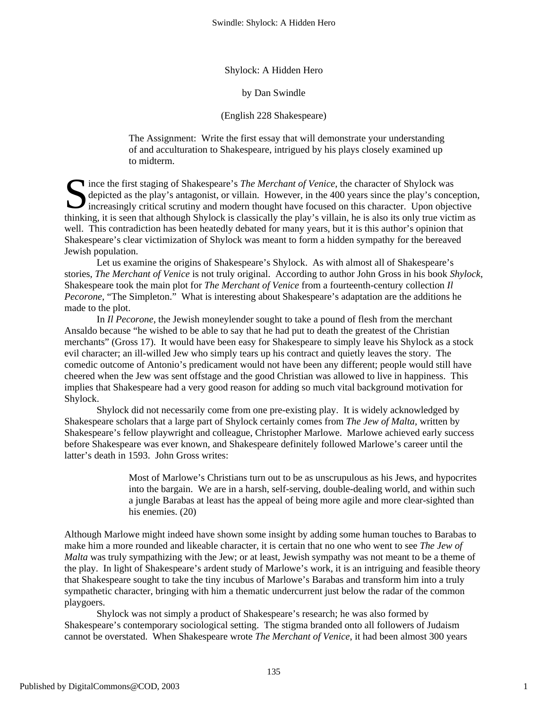Shylock: A Hidden Hero

by Dan Swindle

(English 228 Shakespeare)

The Assignment: Write the first essay that will demonstrate your understanding of and acculturation to Shakespeare, intrigued by his plays closely examined up to midterm.

Since the first staging of Shakespeare's *The Merchant of Venice*, the character of Shylock was depicted as the play's antagonist, or villain. However, in the 400 years since the play's concernation increasingly critical s depicted as the play's antagonist, or villain. However, in the 400 years since the play's conception, Increasingly critical scrutiny and modern thought have focused on this character. Upon objective thinking, it is seen that although Shylock is classically the play's villain, he is also its only true victim as well. This contradiction has been heatedly debated for many years, but it is this author's opinion that Shakespeare's clear victimization of Shylock was meant to form a hidden sympathy for the bereaved Jewish population.

Let us examine the origins of Shakespeare's Shylock. As with almost all of Shakespeare's stories, *The Merchant of Venice* is not truly original. According to author John Gross in his book *Shylock*, Shakespeare took the main plot for *The Merchant of Venice* from a fourteenth-century collection *Il Pecorone*, "The Simpleton." What is interesting about Shakespeare's adaptation are the additions he made to the plot.

In *Il Pecorone*, the Jewish moneylender sought to take a pound of flesh from the merchant Ansaldo because "he wished to be able to say that he had put to death the greatest of the Christian merchants" (Gross 17). It would have been easy for Shakespeare to simply leave his Shylock as a stock evil character; an ill-willed Jew who simply tears up his contract and quietly leaves the story. The comedic outcome of Antonio's predicament would not have been any different; people would still have cheered when the Jew was sent offstage and the good Christian was allowed to live in happiness. This implies that Shakespeare had a very good reason for adding so much vital background motivation for Shylock.

Shylock did not necessarily come from one pre-existing play. It is widely acknowledged by Shakespeare scholars that a large part of Shylock certainly comes from *The Jew of Malta*, written by Shakespeare's fellow playwright and colleague, Christopher Marlowe. Marlowe achieved early success before Shakespeare was ever known, and Shakespeare definitely followed Marlowe's career until the latter's death in 1593. John Gross writes:

> Most of Marlowe's Christians turn out to be as unscrupulous as his Jews, and hypocrites into the bargain. We are in a harsh, self-serving, double-dealing world, and within such a jungle Barabas at least has the appeal of being more agile and more clear-sighted than his enemies. (20)

Although Marlowe might indeed have shown some insight by adding some human touches to Barabas to make him a more rounded and likeable character, it is certain that no one who went to see *The Jew of Malta* was truly sympathizing with the Jew; or at least, Jewish sympathy was not meant to be a theme of the play. In light of Shakespeare's ardent study of Marlowe's work, it is an intriguing and feasible theory that Shakespeare sought to take the tiny incubus of Marlowe's Barabas and transform him into a truly sympathetic character, bringing with him a thematic undercurrent just below the radar of the common playgoers.

Shylock was not simply a product of Shakespeare's research; he was also formed by Shakespeare's contemporary sociological setting. The stigma branded onto all followers of Judaism cannot be overstated. When Shakespeare wrote *The Merchant of Venice*, it had been almost 300 years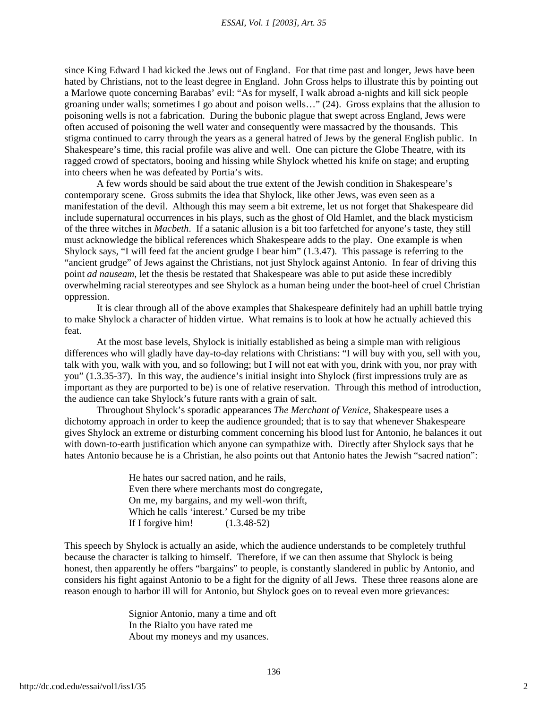## *ESSAI, Vol. 1 [2003], Art. 35*

since King Edward I had kicked the Jews out of England. For that time past and longer, Jews have been hated by Christians, not to the least degree in England. John Gross helps to illustrate this by pointing out a Marlowe quote concerning Barabas' evil: "As for myself, I walk abroad a-nights and kill sick people groaning under walls; sometimes I go about and poison wells…" (24). Gross explains that the allusion to poisoning wells is not a fabrication. During the bubonic plague that swept across England, Jews were often accused of poisoning the well water and consequently were massacred by the thousands. This stigma continued to carry through the years as a general hatred of Jews by the general English public. In Shakespeare's time, this racial profile was alive and well. One can picture the Globe Theatre, with its ragged crowd of spectators, booing and hissing while Shylock whetted his knife on stage; and erupting into cheers when he was defeated by Portia's wits.

A few words should be said about the true extent of the Jewish condition in Shakespeare's contemporary scene. Gross submits the idea that Shylock, like other Jews, was even seen as a manifestation of the devil. Although this may seem a bit extreme, let us not forget that Shakespeare did include supernatural occurrences in his plays, such as the ghost of Old Hamlet, and the black mysticism of the three witches in *Macbeth*. If a satanic allusion is a bit too farfetched for anyone's taste, they still must acknowledge the biblical references which Shakespeare adds to the play. One example is when Shylock says, "I will feed fat the ancient grudge I bear him" (1.3.47). This passage is referring to the "ancient grudge" of Jews against the Christians, not just Shylock against Antonio. In fear of driving this point *ad nauseam*, let the thesis be restated that Shakespeare was able to put aside these incredibly overwhelming racial stereotypes and see Shylock as a human being under the boot-heel of cruel Christian oppression.

It is clear through all of the above examples that Shakespeare definitely had an uphill battle trying to make Shylock a character of hidden virtue. What remains is to look at how he actually achieved this feat.

At the most base levels, Shylock is initially established as being a simple man with religious differences who will gladly have day-to-day relations with Christians: "I will buy with you, sell with you, talk with you, walk with you, and so following; but I will not eat with you, drink with you, nor pray with you" (1.3.35-37). In this way, the audience's initial insight into Shylock (first impressions truly are as important as they are purported to be) is one of relative reservation. Through this method of introduction, the audience can take Shylock's future rants with a grain of salt.

Throughout Shylock's sporadic appearances *The Merchant of Venice*, Shakespeare uses a dichotomy approach in order to keep the audience grounded; that is to say that whenever Shakespeare gives Shylock an extreme or disturbing comment concerning his blood lust for Antonio, he balances it out with down-to-earth justification which anyone can sympathize with. Directly after Shylock says that he hates Antonio because he is a Christian, he also points out that Antonio hates the Jewish "sacred nation":

> He hates our sacred nation, and he rails, Even there where merchants most do congregate, On me, my bargains, and my well-won thrift, Which he calls 'interest.' Cursed be my tribe If I forgive him! (1.3.48-52)

This speech by Shylock is actually an aside, which the audience understands to be completely truthful because the character is talking to himself. Therefore, if we can then assume that Shylock is being honest, then apparently he offers "bargains" to people, is constantly slandered in public by Antonio, and considers his fight against Antonio to be a fight for the dignity of all Jews. These three reasons alone are reason enough to harbor ill will for Antonio, but Shylock goes on to reveal even more grievances:

> Signior Antonio, many a time and oft In the Rialto you have rated me About my moneys and my usances.